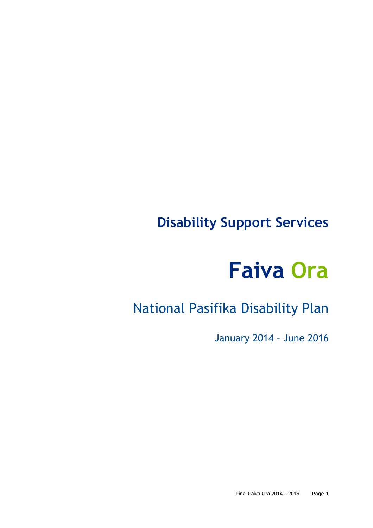# **Disability Support Services**

# **Faiva Ora**

# National Pasifika Disability Plan

January 2014 – June 2016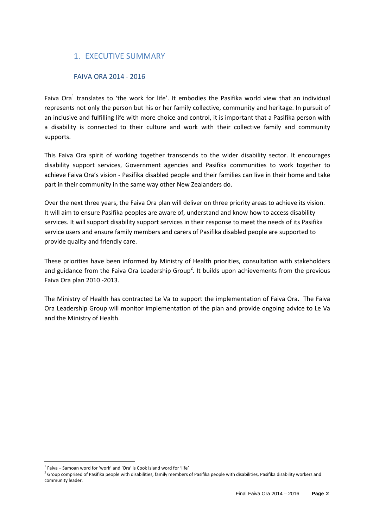# 1. EXECUTIVE SUMMARY

#### FAIVA ORA 2014 - 2016

Faiva Ora<sup>1</sup> translates to 'the work for life'. It embodies the Pasifika world view that an individual represents not only the person but his or her family collective, community and heritage. In pursuit of an inclusive and fulfilling life with more choice and control, it is important that a Pasifika person with a disability is connected to their culture and work with their collective family and community supports.

This Faiva Ora spirit of working together transcends to the wider disability sector. It encourages disability support services, Government agencies and Pasifika communities to work together to achieve Faiva Ora's vision - Pasifika disabled people and their families can live in their home and take part in their community in the same way other New Zealanders do.

Over the next three years, the Faiva Ora plan will deliver on three priority areas to achieve its vision. It will aim to ensure Pasifika peoples are aware of, understand and know how to access disability services. It will support disability support services in their response to meet the needs of its Pasifika service users and ensure family members and carers of Pasifika disabled people are supported to provide quality and friendly care.

These priorities have been informed by Ministry of Health priorities, consultation with stakeholders and guidance from the Faiva Ora Leadership Group<sup>2</sup>. It builds upon achievements from the previous Faiva Ora plan 2010 -2013.

The Ministry of Health has contracted Le Va to support the implementation of Faiva Ora. The Faiva Ora Leadership Group will monitor implementation of the plan and provide ongoing advice to Le Va and the Ministry of Health.

l

 $1$  Faiva – Samoan word for 'work' and 'Ora' is Cook Island word for 'life'

<sup>&</sup>lt;sup>2</sup> Group comprised of Pasifika people with disabilities, family members of Pasifika people with disabilities, Pasifika disability workers and community leader.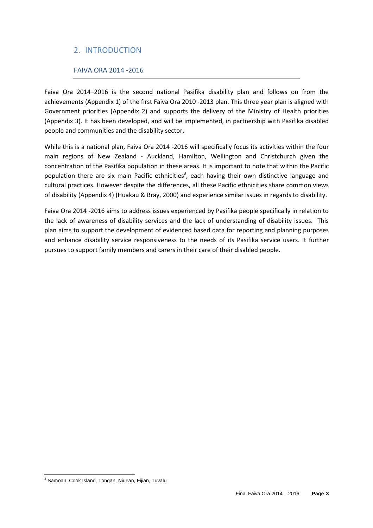# 2. INTRODUCTION

## FAIVA ORA 2014 -2016

Faiva Ora 2014–2016 is the second national Pasifika disability plan and follows on from the achievements (Appendix 1) of the first Faiva Ora 2010 -2013 plan. This three year plan is aligned with Government priorities (Appendix 2) and supports the delivery of the Ministry of Health priorities (Appendix 3). It has been developed, and will be implemented, in partnership with Pasifika disabled people and communities and the disability sector.

While this is a national plan, Faiva Ora 2014 -2016 will specifically focus its activities within the four main regions of New Zealand - Auckland, Hamilton, Wellington and Christchurch given the concentration of the Pasifika population in these areas. It is important to note that within the Pacific population there are six main Pacific ethnicities<sup>3</sup>, each having their own distinctive language and cultural practices. However despite the differences, all these Pacific ethnicities share common views of disability (Appendix 4) (Huakau & Bray, 2000) and experience similar issues in regards to disability.

Faiva Ora 2014 -2016 aims to address issues experienced by Pasifika people specifically in relation to the lack of awareness of disability services and the lack of understanding of disability issues. This plan aims to support the development of evidenced based data for reporting and planning purposes and enhance disability service responsiveness to the needs of its Pasifika service users. It further pursues to support family members and carers in their care of their disabled people.

l <sup>3</sup> Samoan, Cook Island, Tongan, Niuean, Fijian, Tuvalu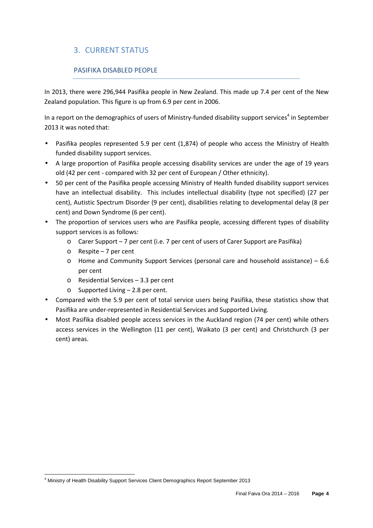# 3. CURRENT STATUS

## PASIFIKA DISABLED PEOPLE

In 2013, there were 296,944 Pasifika people in New Zealand. This made up 7.4 per cent of the New Zealand population. This figure is up from 6.9 per cent in 2006.

In a report on the demographics of users of Ministry-funded disability support services<sup>4</sup> in September 2013 it was noted that:

- Pasifika peoples represented 5.9 per cent (1,874) of people who access the Ministry of Health funded disability support services.
- A large proportion of Pasifika people accessing disability services are under the age of 19 years old (42 per cent - compared with 32 per cent of European / Other ethnicity).
- 50 per cent of the Pasifika people accessing Ministry of Health funded disability support services have an intellectual disability. This includes intellectual disability (type not specified) (27 per cent), Autistic Spectrum Disorder (9 per cent), disabilities relating to developmental delay (8 per cent) and Down Syndrome (6 per cent).
- The proportion of services users who are Pasifika people, accessing different types of disability support services is as follows:
	- o Carer Support 7 per cent (i.e. 7 per cent of users of Carer Support are Pasifika)
	- o Respite 7 per cent

l

- o Home and Community Support Services (personal care and household assistance) 6.6 per cent
- o Residential Services 3.3 per cent
- o Supported Living 2.8 per cent.
- Compared with the 5.9 per cent of total service users being Pasifika, these statistics show that Pasifika are under-represented in Residential Services and Supported Living.
- Most Pasifika disabled people access services in the Auckland region (74 per cent) while others access services in the Wellington (11 per cent), Waikato (3 per cent) and Christchurch (3 per cent) areas.

<sup>&</sup>lt;sup>4</sup> Ministry of Health Disability Support Services Client Demographics Report September 2013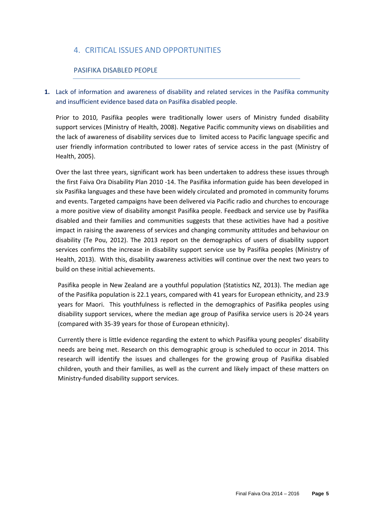# 4. CRITICAL ISSUES AND OPPORTUNITIES

#### PASIFIKA DISABLED PEOPLE

**1.** Lack of information and awareness of disability and related services in the Pasifika community and insufficient evidence based data on Pasifika disabled people.

Prior to 2010, Pasifika peoples were traditionally lower users of Ministry funded disability support services (Ministry of Health, 2008). Negative Pacific community views on disabilities and the lack of awareness of disability services due to limited access to Pacific language specific and user friendly information contributed to lower rates of service access in the past (Ministry of Health, 2005).

Over the last three years, significant work has been undertaken to address these issues through the first Faiva Ora Disability Plan 2010 -14. The Pasifika information guide has been developed in six Pasifika languages and these have been widely circulated and promoted in community forums and events. Targeted campaigns have been delivered via Pacific radio and churches to encourage a more positive view of disability amongst Pasifika people. Feedback and service use by Pasifika disabled and their families and communities suggests that these activities have had a positive impact in raising the awareness of services and changing community attitudes and behaviour on disability (Te Pou, 2012). The 2013 report on the demographics of users of disability support services confirms the increase in disability support service use by Pasifika peoples (Ministry of Health, 2013). With this, disability awareness activities will continue over the next two years to build on these initial achievements.

Pasifika people in New Zealand are a youthful population (Statistics NZ, 2013). The median age of the Pasifika population is 22.1 years, compared with 41 years for European ethnicity, and 23.9 years for Maori. This youthfulness is reflected in the demographics of Pasifika peoples using disability support services, where the median age group of Pasifika service users is 20-24 years (compared with 35-39 years for those of European ethnicity).

Currently there is little evidence regarding the extent to which Pasifika young peoples' disability needs are being met. Research on this demographic group is scheduled to occur in 2014. This research will identify the issues and challenges for the growing group of Pasifika disabled children, youth and their families, as well as the current and likely impact of these matters on Ministry-funded disability support services.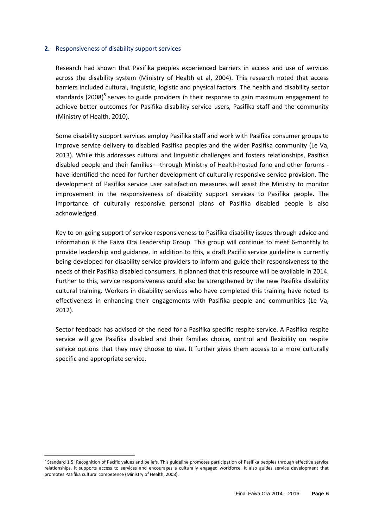#### **2.** Responsiveness of disability support services

Research had shown that Pasifika peoples experienced barriers in access and use of services across the disability system (Ministry of Health et al, 2004). This research noted that access barriers included cultural, linguistic, logistic and physical factors. The health and disability sector standards (2008)<sup>5</sup> serves to guide providers in their response to gain maximum engagement to achieve better outcomes for Pasifika disability service users, Pasifika staff and the community (Ministry of Health, 2010).

Some disability support services employ Pasifika staff and work with Pasifika consumer groups to improve service delivery to disabled Pasifika peoples and the wider Pasifika community (Le Va, 2013). While this addresses cultural and linguistic challenges and fosters relationships, Pasifika disabled people and their families – through Ministry of Health-hosted fono and other forums have identified the need for further development of culturally responsive service provision. The development of Pasifika service user satisfaction measures will assist the Ministry to monitor improvement in the responsiveness of disability support services to Pasifika people. The importance of culturally responsive personal plans of Pasifika disabled people is also acknowledged.

Key to on-going support of service responsiveness to Pasifika disability issues through advice and information is the Faiva Ora Leadership Group. This group will continue to meet 6-monthly to provide leadership and guidance. In addition to this, a draft Pacific service guideline is currently being developed for disability service providers to inform and guide their responsiveness to the needs of their Pasifika disabled consumers. It planned that this resource will be available in 2014. Further to this, service responsiveness could also be strengthened by the new Pasifika disability cultural training. Workers in disability services who have completed this training have noted its effectiveness in enhancing their engagements with Pasifika people and communities (Le Va, 2012).

Sector feedback has advised of the need for a Pasifika specific respite service. A Pasifika respite service will give Pasifika disabled and their families choice, control and flexibility on respite service options that they may choose to use. It further gives them access to a more culturally specific and appropriate service.

 $\overline{a}$ 

<sup>&</sup>lt;sup>5</sup> Standard 1.5: Recognition of Pacific values and beliefs. This guideline promotes participation of Pasifika peoples through effective service relationships, it supports access to services and encourages a culturally engaged workforce. It also guides service development that promotes Pasifika cultural competence (Ministry of Health, 2008).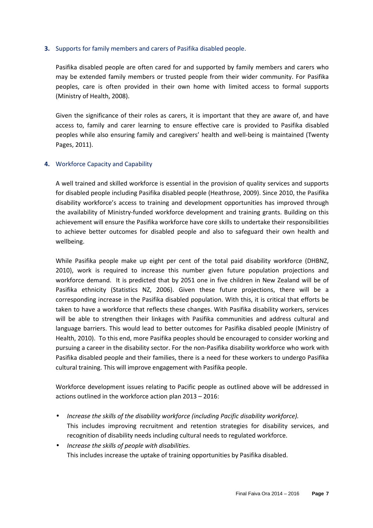#### **3.** Supports for family members and carers of Pasifika disabled people.

Pasifika disabled people are often cared for and supported by family members and carers who may be extended family members or trusted people from their wider community. For Pasifika peoples, care is often provided in their own home with limited access to formal supports (Ministry of Health, 2008).

Given the significance of their roles as carers, it is important that they are aware of, and have access to, family and carer learning to ensure effective care is provided to Pasifika disabled peoples while also ensuring family and caregivers' health and well-being is maintained (Twenty Pages, 2011).

#### **4.** Workforce Capacity and Capability

A well trained and skilled workforce is essential in the provision of quality services and supports for disabled people including Pasifika disabled people (Heathrose, 2009). Since 2010, the Pasifika disability workforce's access to training and development opportunities has improved through the availability of Ministry-funded workforce development and training grants. Building on this achievement will ensure the Pasifika workforce have core skills to undertake their responsibilities to achieve better outcomes for disabled people and also to safeguard their own health and wellbeing.

While Pasifika people make up eight per cent of the total paid disability workforce (DHBNZ, 2010), work is required to increase this number given future population projections and workforce demand. It is predicted that by 2051 one in five children in New Zealand will be of Pasifika ethnicity (Statistics NZ, 2006). Given these future projections, there will be a corresponding increase in the Pasifika disabled population. With this, it is critical that efforts be taken to have a workforce that reflects these changes. With Pasifika disability workers, services will be able to strengthen their linkages with Pasifika communities and address cultural and language barriers. This would lead to better outcomes for Pasifika disabled people (Ministry of Health, 2010). To this end, more Pasifika peoples should be encouraged to consider working and pursuing a career in the disability sector. For the non-Pasifika disability workforce who work with Pasifika disabled people and their families, there is a need for these workers to undergo Pasifika cultural training. This will improve engagement with Pasifika people.

Workforce development issues relating to Pacific people as outlined above will be addressed in actions outlined in the workforce action plan 2013 – 2016:

- *Increase the skills of the disability workforce (including Pacific disability workforce).*  This includes improving recruitment and retention strategies for disability services, and recognition of disability needs including cultural needs to regulated workforce.
- *Increase the skills of people with disabilities.*  This includes increase the uptake of training opportunities by Pasifika disabled.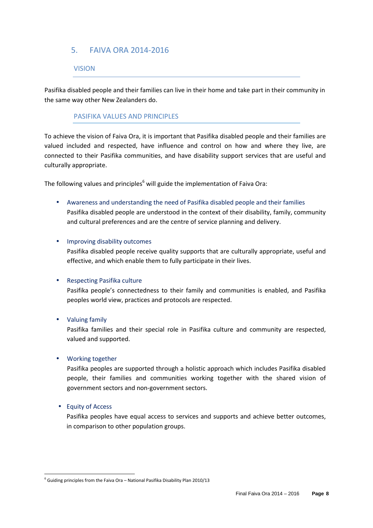# 5. FAIVA ORA 2014-2016

#### VISION

Pasifika disabled people and their families can live in their home and take part in their community in the same way other New Zealanders do.

#### PASIFIKA VALUES AND PRINCIPLES

To achieve the vision of Faiva Ora, it is important that Pasifika disabled people and their families are valued included and respected, have influence and control on how and where they live, are connected to their Pasifika communities, and have disability support services that are useful and culturally appropriate.

The following values and principles<sup>6</sup> will guide the implementation of Faiva Ora:

• Awareness and understanding the need of Pasifika disabled people and their families Pasifika disabled people are understood in the context of their disability, family, community and cultural preferences and are the centre of service planning and delivery.

#### • Improving disability outcomes

Pasifika disabled people receive quality supports that are culturally appropriate, useful and effective, and which enable them to fully participate in their lives.

#### • Respecting Pasifika culture

Pasifika people's connectedness to their family and communities is enabled, and Pasifika peoples world view, practices and protocols are respected.

#### • Valuing family

Pasifika families and their special role in Pasifika culture and community are respected, valued and supported.

#### • Working together

Pasifika peoples are supported through a holistic approach which includes Pasifika disabled people, their families and communities working together with the shared vision of government sectors and non-government sectors.

#### • Equity of Access

Pasifika peoples have equal access to services and supports and achieve better outcomes, in comparison to other population groups.

 6 Guiding principles from the Faiva Ora – National Pasifika Disability Plan 2010/13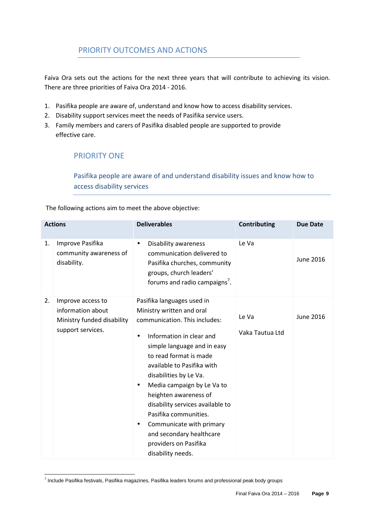# PRIORITY OUTCOMES AND ACTIONS

Faiva Ora sets out the actions for the next three years that will contribute to achieving its vision. There are three priorities of Faiva Ora 2014 - 2016.

- 1. Pasifika people are aware of, understand and know how to access disability services.
- 2. Disability support services meet the needs of Pasifika service users.
- 3. Family members and carers of Pasifika disabled people are supported to provide effective care.

# PRIORITY ONE

Pasifika people are aware of and understand disability issues and know how to access disability services

The following actions aim to meet the above objective:

| <b>Actions</b> |                                                                                           | <b>Deliverables</b>                                                                                                                                                                                                                                                                                                                                                                                                                                                                                    | Contributing             | <b>Due Date</b>  |
|----------------|-------------------------------------------------------------------------------------------|--------------------------------------------------------------------------------------------------------------------------------------------------------------------------------------------------------------------------------------------------------------------------------------------------------------------------------------------------------------------------------------------------------------------------------------------------------------------------------------------------------|--------------------------|------------------|
| 1.             | Improve Pasifika<br>community awareness of<br>disability.                                 | Disability awareness<br>$\bullet$<br>communication delivered to<br>Pasifika churches, community<br>groups, church leaders'<br>forums and radio campaigns'.                                                                                                                                                                                                                                                                                                                                             | Le Va                    | June 2016        |
| 2.             | Improve access to<br>information about<br>Ministry funded disability<br>support services. | Pasifika languages used in<br>Ministry written and oral<br>communication. This includes:<br>Information in clear and<br>$\bullet$<br>simple language and in easy<br>to read format is made<br>available to Pasifika with<br>disabilities by Le Va.<br>Media campaign by Le Va to<br>$\bullet$<br>heighten awareness of<br>disability services available to<br>Pasifika communities.<br>Communicate with primary<br>$\bullet$<br>and secondary healthcare<br>providers on Pasifika<br>disability needs. | Le Va<br>Vaka Tautua Ltd | <b>June 2016</b> |

 7 Include Pasifika festivals, Pasifika magazines, Pasifika leaders forums and professional peak body groups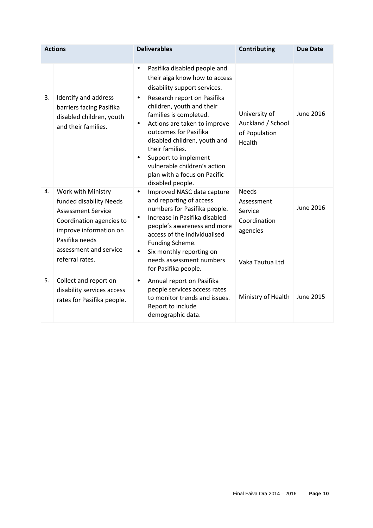| <b>Actions</b> |                                                                                                                                                                                                 | <b>Deliverables</b>                                                                                                                                                                                                                                                                                                                               | Contributing                                                                         | <b>Due Date</b>  |
|----------------|-------------------------------------------------------------------------------------------------------------------------------------------------------------------------------------------------|---------------------------------------------------------------------------------------------------------------------------------------------------------------------------------------------------------------------------------------------------------------------------------------------------------------------------------------------------|--------------------------------------------------------------------------------------|------------------|
|                |                                                                                                                                                                                                 | Pasifika disabled people and<br>$\bullet$<br>their aiga know how to access<br>disability support services.                                                                                                                                                                                                                                        |                                                                                      |                  |
| 3.             | Identify and address<br>barriers facing Pasifika<br>disabled children, youth<br>and their families.                                                                                             | Research report on Pasifika<br>$\bullet$<br>children, youth and their<br>families is completed.<br>Actions are taken to improve<br>$\bullet$<br>outcomes for Pasifika<br>disabled children, youth and<br>their families.<br>Support to implement<br>$\bullet$<br>vulnerable children's action<br>plan with a focus on Pacific<br>disabled people. | University of<br>Auckland / School<br>of Population<br>Health                        | June 2016        |
| 4.             | Work with Ministry<br>funded disability Needs<br><b>Assessment Service</b><br>Coordination agencies to<br>improve information on<br>Pasifika needs<br>assessment and service<br>referral rates. | Improved NASC data capture<br>$\bullet$<br>and reporting of access<br>numbers for Pasifika people.<br>Increase in Pasifika disabled<br>$\bullet$<br>people's awareness and more<br>access of the Individualised<br>Funding Scheme.<br>Six monthly reporting on<br>$\bullet$<br>needs assessment numbers<br>for Pasifika people.                   | <b>Needs</b><br>Assessment<br>Service<br>Coordination<br>agencies<br>Vaka Tautua Ltd | <b>June 2016</b> |
| 5.             | Collect and report on<br>disability services access<br>rates for Pasifika people.                                                                                                               | Annual report on Pasifika<br>٠<br>people services access rates<br>to monitor trends and issues.<br>Report to include<br>demographic data.                                                                                                                                                                                                         | Ministry of Health                                                                   | <b>June 2015</b> |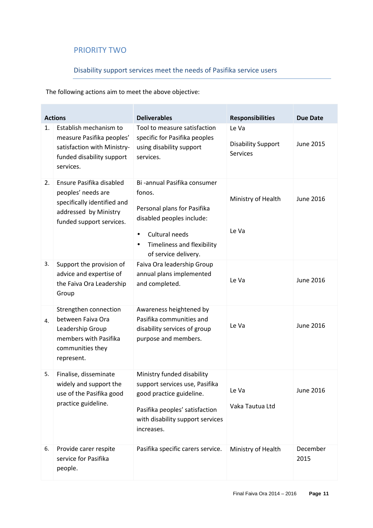# PRIORITY TWO

# Disability support services meet the needs of Pasifika service users

The following actions aim to meet the above objective:

| <b>Actions</b> |                                                                                                                                    | <b>Deliverables</b>                                                                                                                                                                                  | <b>Responsibilities</b>                               | <b>Due Date</b>  |
|----------------|------------------------------------------------------------------------------------------------------------------------------------|------------------------------------------------------------------------------------------------------------------------------------------------------------------------------------------------------|-------------------------------------------------------|------------------|
| 1.             | Establish mechanism to<br>measure Pasifika peoples'<br>satisfaction with Ministry-<br>funded disability support<br>services.       | Tool to measure satisfaction<br>specific for Pasifika peoples<br>using disability support<br>services.                                                                                               | Le Va<br><b>Disability Support</b><br><b>Services</b> | June 2015        |
| 2.             | Ensure Pasifika disabled<br>peoples' needs are<br>specifically identified and<br>addressed by Ministry<br>funded support services. | Bi -annual Pasifika consumer<br>fonos.<br>Personal plans for Pasifika<br>disabled peoples include:<br>Cultural needs<br>$\bullet$<br>Timeliness and flexibility<br>$\bullet$<br>of service delivery. | Ministry of Health<br>Le Va                           | <b>June 2016</b> |
| 3.             | Support the provision of<br>advice and expertise of<br>the Faiva Ora Leadership<br>Group                                           | Faiva Ora leadership Group<br>annual plans implemented<br>and completed.                                                                                                                             | Le Va                                                 | <b>June 2016</b> |
| 4.             | Strengthen connection<br>between Faiva Ora<br>Leadership Group<br>members with Pasifika<br>communities they<br>represent.          | Awareness heightened by<br>Pasifika communities and<br>disability services of group<br>purpose and members.                                                                                          | Le Va                                                 | <b>June 2016</b> |
| 5.             | Finalise, disseminate<br>widely and support the<br>use of the Pasifika good<br>practice guideline.                                 | Ministry funded disability<br>support services use, Pasifika<br>good practice guideline.<br>Pasifika peoples' satisfaction<br>with disability support services<br>increases.                         | Le Va<br>Vaka Tautua Ltd                              | June 2016        |
| 6.             | Provide carer respite<br>service for Pasifika<br>people.                                                                           | Pasifika specific carers service.                                                                                                                                                                    | Ministry of Health                                    | December<br>2015 |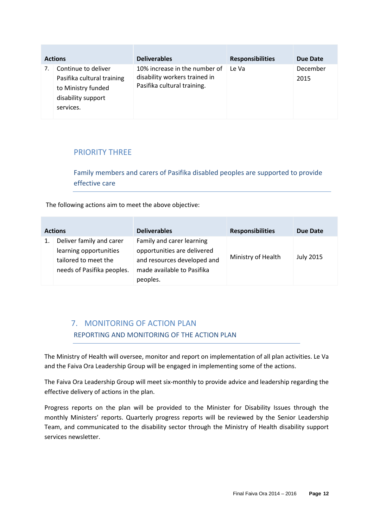| <b>Actions</b> |                                                                                                            | <b>Deliverables</b>                                                                           | <b>Responsibilities</b> | Due Date         |
|----------------|------------------------------------------------------------------------------------------------------------|-----------------------------------------------------------------------------------------------|-------------------------|------------------|
|                | Continue to deliver<br>Pasifika cultural training<br>to Ministry funded<br>disability support<br>services. | 10% increase in the number of<br>disability workers trained in<br>Pasifika cultural training. | Le Va                   | December<br>2015 |

# PRIORITY THREE

Family members and carers of Pasifika disabled peoples are supported to provide effective care

The following actions aim to meet the above objective:

| <b>Actions</b> |                                                                                                          | <b>Deliverables</b>                                                                                                               | <b>Responsibilities</b> | Due Date         |
|----------------|----------------------------------------------------------------------------------------------------------|-----------------------------------------------------------------------------------------------------------------------------------|-------------------------|------------------|
| 1.             | Deliver family and carer<br>learning opportunities<br>tailored to meet the<br>needs of Pasifika peoples. | Family and carer learning<br>opportunities are delivered<br>and resources developed and<br>made available to Pasifika<br>peoples. | Ministry of Health      | <b>July 2015</b> |

# 7. MONITORING OF ACTION PLAN REPORTING AND MONITORING OF THE ACTION PLAN

The Ministry of Health will oversee, monitor and report on implementation of all plan activities. Le Va and the Faiva Ora Leadership Group will be engaged in implementing some of the actions.

The Faiva Ora Leadership Group will meet six-monthly to provide advice and leadership regarding the effective delivery of actions in the plan.

Progress reports on the plan will be provided to the Minister for Disability Issues through the monthly Ministers' reports. Quarterly progress reports will be reviewed by the Senior Leadership Team, and communicated to the disability sector through the Ministry of Health disability support services newsletter.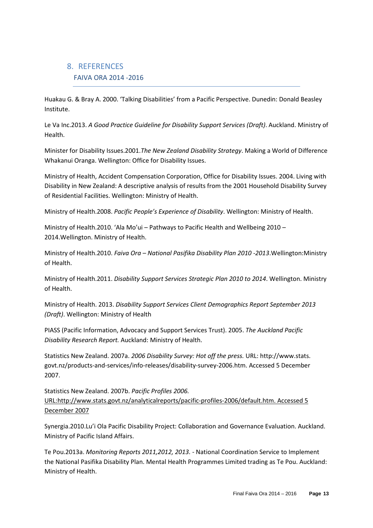# 8. REFERENCES FAIVA ORA 2014 -2016

Huakau G. & Bray A. 2000. 'Talking Disabilities' from a Pacific Perspective. Dunedin: Donald Beasley Institute.

Le Va Inc.2013. *A Good Practice Guideline for Disability Support Services (Draft)*. Auckland. Ministry of Health.

Minister for Disability Issues.2001.*The New Zealand Disability Strategy*. Making a World of Difference Whakanui Oranga. Wellington: Office for Disability Issues.

Ministry of Health, Accident Compensation Corporation, Office for Disability Issues. 2004. Living with Disability in New Zealand: A descriptive analysis of results from the 2001 Household Disability Survey of Residential Facilities. Wellington: Ministry of Health.

Ministry of Health.2008. *Pacific People's Experience of Disability*. Wellington: Ministry of Health.

Ministry of Health.2010. 'Ala Mo'ui – Pathways to Pacific Health and Wellbeing 2010 – 2014.Wellington. Ministry of Health.

Ministry of Health.2010. *Faiva Ora – National Pasifika Disability Plan 2010 -2013*.Wellington:Ministry of Health.

Ministry of Health.2011. *Disability Support Services Strategic Plan 2010 to 2014*. Wellington. Ministry of Health.

Ministry of Health. 2013. *Disability Support Services Client Demographics Report September 2013 (Draft)*. Wellington: Ministry of Health

PIASS (Pacific Information, Advocacy and Support Services Trust). 2005. *The Auckland Pacific Disability Research Report.* Auckland: Ministry of Health.

Statistics New Zealand. 2007a. *2006 Disability Survey: Hot off the press.* URL: http://www.stats. govt.nz/products-and-services/info-releases/disability-survey-2006.htm. Accessed 5 December 2007.

Statistics New Zealand. 2007b. *Pacific Profiles 2006.*  URL:http://www.stats.govt.nz/analyticalreports/pacific-profiles-2006/default.htm. Accessed 5 December 2007

Synergia.2010.Lu'i Ola Pacific Disability Project: Collaboration and Governance Evaluation. Auckland. Ministry of Pacific Island Affairs.

Te Pou.2013a. *Monitoring Reports 2011,2012, 2013.* - National Coordination Service to Implement the National Pasifika Disability Plan. Mental Health Programmes Limited trading as Te Pou. Auckland: Ministry of Health.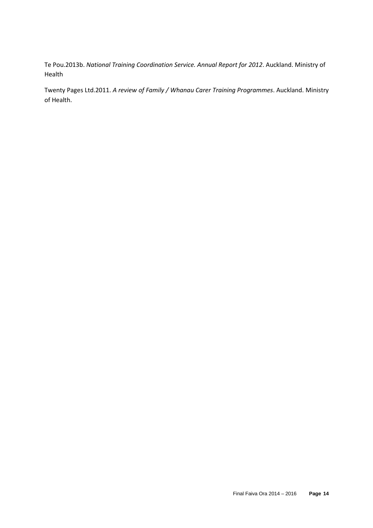Te Pou.2013b. *National Training Coordination Service. Annual Report for 2012*. Auckland. Ministry of Health

Twenty Pages Ltd.2011. *A review of Family / Whanau Carer Training Programmes*. Auckland. Ministry of Health.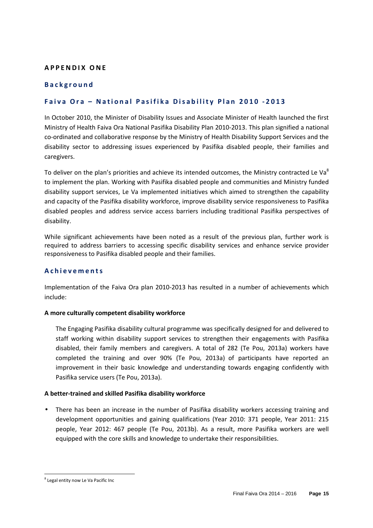#### **A P P E N D I X O N E**

#### **B a c k g r o u n d**

#### Faiva Ora - National Pasifika Disability Plan 2010 - 2013

In October 2010, the Minister of Disability Issues and Associate Minister of Health launched the first Ministry of Health Faiva Ora National Pasifika Disability Plan 2010-2013. This plan signified a national co-ordinated and collaborative response by the Ministry of Health Disability Support Services and the disability sector to addressing issues experienced by Pasifika disabled people, their families and caregivers.

To deliver on the plan's priorities and achieve its intended outcomes, the Ministry contracted Le Va<sup>8</sup> to implement the plan. Working with Pasifika disabled people and communities and Ministry funded disability support services, Le Va implemented initiatives which aimed to strengthen the capability and capacity of the Pasifika disability workforce, improve disability service responsiveness to Pasifika disabled peoples and address service access barriers including traditional Pasifika perspectives of disability.

While significant achievements have been noted as a result of the previous plan, further work is required to address barriers to accessing specific disability services and enhance service provider responsiveness to Pasifika disabled people and their families.

#### **A c h i e v e m e n t s**

Implementation of the Faiva Ora plan 2010-2013 has resulted in a number of achievements which include:

#### **A more culturally competent disability workforce**

The Engaging Pasifika disability cultural programme was specifically designed for and delivered to staff working within disability support services to strengthen their engagements with Pasifika disabled, their family members and caregivers. A total of 282 (Te Pou, 2013a) workers have completed the training and over 90% (Te Pou, 2013a) of participants have reported an improvement in their basic knowledge and understanding towards engaging confidently with Pasifika service users (Te Pou, 2013a).

#### **A better-trained and skilled Pasifika disability workforce**

• There has been an increase in the number of Pasifika disability workers accessing training and development opportunities and gaining qualifications (Year 2010: 371 people, Year 2011: 215 people, Year 2012: 467 people (Te Pou, 2013b). As a result, more Pasifika workers are well equipped with the core skills and knowledge to undertake their responsibilities.

l <sup>8</sup> Legal entity now Le Va Pacific Inc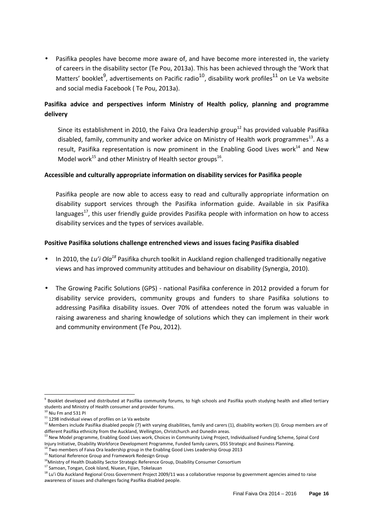• Pasifika peoples have become more aware of, and have become more interested in, the variety of careers in the disability sector (Te Pou, 2013a). This has been achieved through the 'Work that Matters' booklet<sup>9</sup>, advertisements on Pacific radio<sup>10</sup>, disability work profiles<sup>11</sup> on Le Va website and social media Facebook ( Te Pou, 2013a).

## **Pasifika advice and perspectives inform Ministry of Health policy, planning and programme delivery**

Since its establishment in 2010, the Faiva Ora leadership group<sup>12</sup> has provided valuable Pasifika disabled, family, community and worker advice on Ministry of Health work programmes $^{13}$ . As a result, Pasifika representation is now prominent in the Enabling Good Lives work<sup>14</sup> and New Model work<sup>15</sup> and other Ministry of Health sector groups<sup>16</sup>.

#### **Accessible and culturally appropriate information on disability services for Pasifika people**

Pasifika people are now able to access easy to read and culturally appropriate information on disability support services through the Pasifika information guide. Available in six Pasifika languages<sup>17</sup>, this user friendly guide provides Pasifika people with information on how to access disability services and the types of services available.

#### **Positive Pasifika solutions challenge entrenched views and issues facing Pasifika disabled**

- In 2010, the *Lu'i Ola<sup>18</sup>* Pasifika church toolkit in Auckland region challenged traditionally negative views and has improved community attitudes and behaviour on disability (Synergia, 2010).
- The Growing Pacific Solutions (GPS) national Pasifika conference in 2012 provided a forum for disability service providers, community groups and funders to share Pasifika solutions to addressing Pasifika disability issues. Over 70% of attendees noted the forum was valuable in raising awareness and sharing knowledge of solutions which they can implement in their work and community environment (Te Pou, 2012).

l

<sup>13</sup> New Model programme, Enabling Good Lives work, Choices in Community Living Project, Individualised Funding Scheme, Spinal Cord Injury Initiative, Disability Workforce Development Programme, Funded family carers, DSS Strategic and Business Planning.

<sup>&</sup>lt;sup>9</sup> Booklet developed and distributed at Pasifika community forums, to high schools and Pasifika youth studying health and allied tertiary students and Ministry of Health consumer and provider forums.

 $^0$  Niu Fm and 531 PI

 $11$  1298 individual views of profiles on Le Va website

<sup>&</sup>lt;sup>12</sup> Members include Pasifika disabled people (7) with varying disabilities, family and carers (1), disability workers (3). Group members are of different Pasifika ethnicity from the Auckland, Wellington, Christchurch and Dunedin areas.

<sup>&</sup>lt;sup>14</sup> Two members of Faiva Ora leadership group in the Enabling Good Lives Leadership Group 2013

<sup>15</sup> National Reference Group and Framework Redesign Group

<sup>&</sup>lt;sup>16</sup>Ministry of Health Disability Sector Strategic Reference Group, Disability Consumer Consortium

<sup>17</sup> Samoan, Tongan, Cook Island, Niuean, Fijian, Tokelauan

<sup>&</sup>lt;sup>18</sup> Lu'i Ola Auckland Regional Cross Government Project 2009/11 was a collaborative response by government agencies aimed to raise awareness of issues and challenges facing Pasifika disabled people.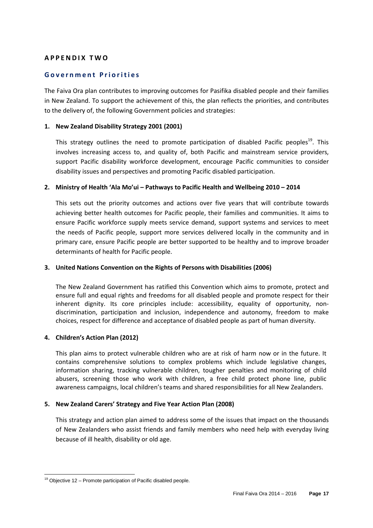#### **A P P E N D I X T W O**

#### **G o v e r n m e n t P r i o r i t i e s**

The Faiva Ora plan contributes to improving outcomes for Pasifika disabled people and their families in New Zealand. To support the achievement of this, the plan reflects the priorities, and contributes to the delivery of, the following Government policies and strategies:

#### **1. New Zealand Disability Strategy 2001 (2001)**

This strategy outlines the need to promote participation of disabled Pacific peoples<sup>19</sup>. This involves increasing access to, and quality of, both Pacific and mainstream service providers, support Pacific disability workforce development, encourage Pacific communities to consider disability issues and perspectives and promoting Pacific disabled participation.

#### **2. Ministry of Health 'Ala Mo'ui – Pathways to Pacific Health and Wellbeing 2010 – 2014**

This sets out the priority outcomes and actions over five years that will contribute towards achieving better health outcomes for Pacific people, their families and communities. It aims to ensure Pacific workforce supply meets service demand, support systems and services to meet the needs of Pacific people, support more services delivered locally in the community and in primary care, ensure Pacific people are better supported to be healthy and to improve broader determinants of health for Pacific people.

#### **3. United Nations Convention on the Rights of Persons with Disabilities (2006)**

The New Zealand Government has ratified this Convention which aims to promote, protect and ensure full and equal rights and freedoms for all disabled people and promote respect for their inherent dignity. Its core principles include: accessibility, equality of opportunity, nondiscrimination, participation and inclusion, independence and autonomy, freedom to make choices, respect for difference and acceptance of disabled people as part of human diversity.

#### **4. Children's Action Plan (2012)**

This plan aims to protect vulnerable children who are at risk of harm now or in the future. It contains comprehensive solutions to complex problems which include legislative changes, information sharing, tracking vulnerable children, tougher penalties and monitoring of child abusers, screening those who work with children, a free child protect phone line, public awareness campaigns, local children's teams and shared responsibilities for all New Zealanders.

#### **5. New Zealand Carers' Strategy and Five Year Action Plan (2008)**

This strategy and action plan aimed to address some of the issues that impact on the thousands of New Zealanders who assist friends and family members who need help with everyday living because of ill health, disability or old age.

l  $19$  Objective 12 – Promote participation of Pacific disabled people.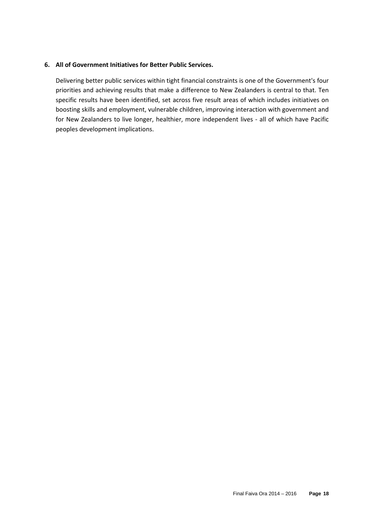#### **6. All of Government Initiatives for Better Public Services.**

Delivering better public services within tight financial constraints is one of the Government's four priorities and achieving results that make a difference to New Zealanders is central to that. Ten specific results have been identified, set across five result areas of which includes initiatives on boosting skills and employment, vulnerable children, improving interaction with government and for New Zealanders to live longer, healthier, more independent lives - all of which have Pacific peoples development implications.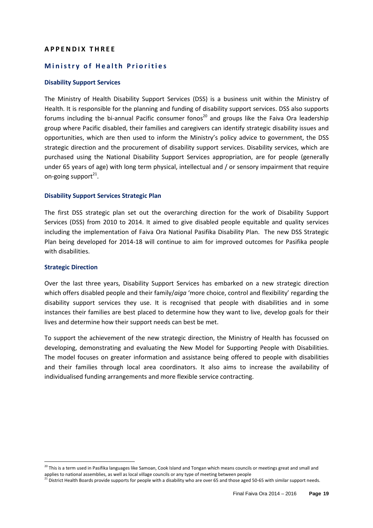#### **A P P E N D I X T H R E E**

#### **Ministry of Health Priorities**

#### **Disability Support Services**

The Ministry of Health Disability Support Services (DSS) is a business unit within the Ministry of Health. It is responsible for the planning and funding of disability support services. DSS also supports forums including the bi-annual Pacific consumer fonos<sup>20</sup> and groups like the Faiva Ora leadership group where Pacific disabled, their families and caregivers can identify strategic disability issues and opportunities, which are then used to inform the Ministry's policy advice to government, the DSS strategic direction and the procurement of disability support services. Disability services, which are purchased using the National Disability Support Services appropriation, are for people (generally under 65 years of age) with long term physical, intellectual and / or sensory impairment that require on-going support<sup>21</sup>.

#### **Disability Support Services Strategic Plan**

The first DSS strategic plan set out the overarching direction for the work of Disability Support Services (DSS) from 2010 to 2014. It aimed to give disabled people equitable and quality services including the implementation of Faiva Ora National Pasifika Disability Plan. The new DSS Strategic Plan being developed for 2014-18 will continue to aim for improved outcomes for Pasifika people with disabilities.

#### **Strategic Direction**

l

Over the last three years, Disability Support Services has embarked on a new strategic direction which offers disabled people and their family/*aiga* 'more choice, control and flexibility' regarding the disability support services they use. It is recognised that people with disabilities and in some instances their families are best placed to determine how they want to live, develop goals for their lives and determine how their support needs can best be met.

To support the achievement of the new strategic direction, the Ministry of Health has focussed on developing, demonstrating and evaluating the New Model for Supporting People with Disabilities. The model focuses on greater information and assistance being offered to people with disabilities and their families through local area coordinators. It also aims to increase the availability of individualised funding arrangements and more flexible service contracting.

 $^{20}$  This is a term used in Pasifika languages like Samoan, Cook Island and Tongan which means councils or meetings great and small and applies to national assemblies, as well as local village councils or any type of meeting between people

 $^{21}$  District Health Boards provide supports for people with a disability who are over 65 and those aged 50-65 with similar support needs.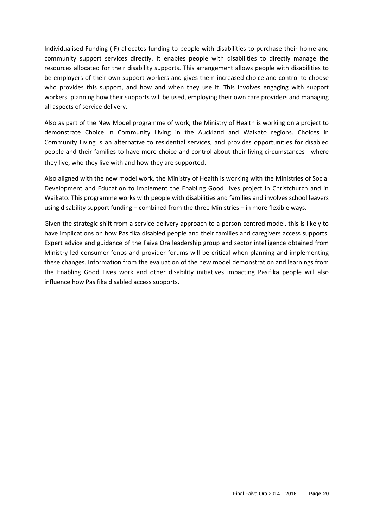Individualised Funding (IF) allocates funding to people with disabilities to purchase their home and community support services directly. It enables people with disabilities to directly manage the resources allocated for their disability supports. This arrangement allows people with disabilities to be employers of their own support workers and gives them increased choice and control to choose who provides this support, and how and when they use it. This involves engaging with support workers, planning how their supports will be used, employing their own care providers and managing all aspects of service delivery.

Also as part of the New Model programme of work, the Ministry of Health is working on a project to demonstrate Choice in Community Living in the Auckland and Waikato regions. Choices in Community Living is an alternative to residential services, and provides opportunities for disabled people and their families to have more choice and control about their living circumstances - where they live, who they live with and how they are supported.

Also aligned with the new model work, the Ministry of Health is working with the Ministries of Social Development and Education to implement the Enabling Good Lives project in Christchurch and in Waikato. This programme works with people with disabilities and families and involves school leavers using disability support funding – combined from the three Ministries – in more flexible ways.

Given the strategic shift from a service delivery approach to a person-centred model, this is likely to have implications on how Pasifika disabled people and their families and caregivers access supports. Expert advice and guidance of the Faiva Ora leadership group and sector intelligence obtained from Ministry led consumer fonos and provider forums will be critical when planning and implementing these changes. Information from the evaluation of the new model demonstration and learnings from the Enabling Good Lives work and other disability initiatives impacting Pasifika people will also influence how Pasifika disabled access supports.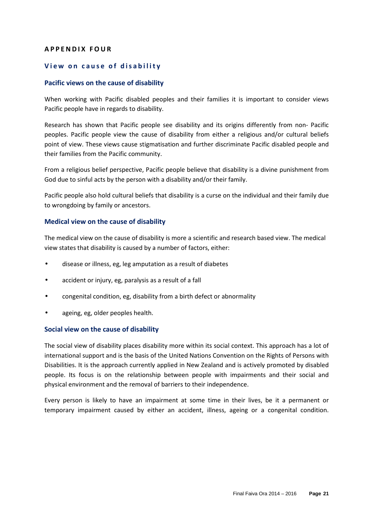#### **A P P E N D I X F O U R**

#### **View on cause of disability**

#### **Pacific views on the cause of disability**

When working with Pacific disabled peoples and their families it is important to consider views Pacific people have in regards to disability.

Research has shown that Pacific people see disability and its origins differently from non- Pacific peoples. Pacific people view the cause of disability from either a religious and/or cultural beliefs point of view. These views cause stigmatisation and further discriminate Pacific disabled people and their families from the Pacific community.

From a religious belief perspective, Pacific people believe that disability is a divine punishment from God due to sinful acts by the person with a disability and/or their family.

Pacific people also hold cultural beliefs that disability is a curse on the individual and their family due to wrongdoing by family or ancestors.

#### **Medical view on the cause of disability**

The medical view on the cause of disability is more a scientific and research based view. The medical view states that disability is caused by a number of factors, either:

- disease or illness, eg, leg amputation as a result of diabetes
- accident or injury, eg, paralysis as a result of a fall
- congenital condition, eg, disability from a birth defect or abnormality
- ageing, eg, older peoples health.

#### **Social view on the cause of disability**

The social view of disability places disability more within its social context. This approach has a lot of international support and is the basis of the United Nations Convention on the Rights of Persons with Disabilities. It is the approach currently applied in New Zealand and is actively promoted by disabled people. Its focus is on the relationship between people with impairments and their social and physical environment and the removal of barriers to their independence.

Every person is likely to have an impairment at some time in their lives, be it a permanent or temporary impairment caused by either an accident, illness, ageing or a congenital condition.